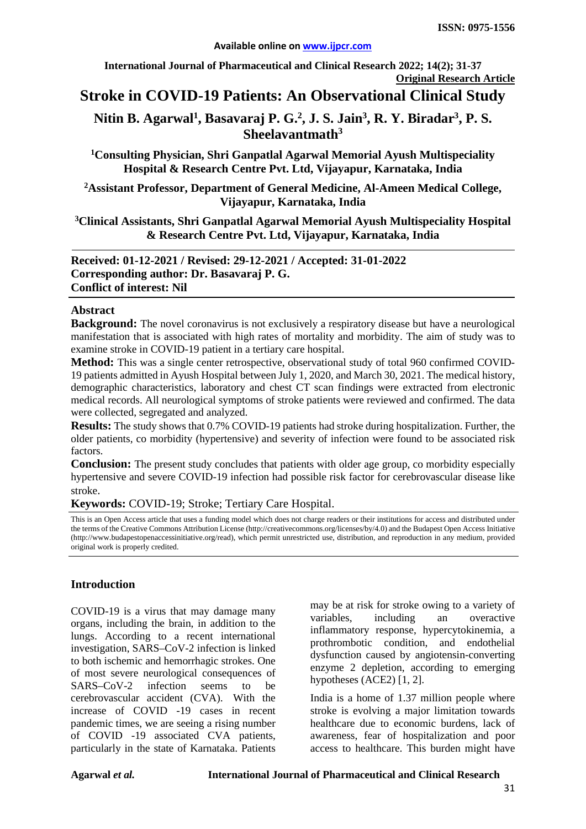**International Journal of Pharmaceutical and Clinical Research 2022; 14(2); 31-37 Original Research Article**

# **Stroke in COVID-19 Patients: An Observational Clinical Study**

# Nitin B. Agarwal<sup>1</sup>, Basavaraj P. G.<sup>2</sup>, J. S. Jain<sup>3</sup>, R. Y. Biradar<sup>3</sup>, P. S. **Sheelavantmath3**

**1Consulting Physician, Shri Ganpatlal Agarwal Memorial Ayush Multispeciality Hospital & Research Centre Pvt. Ltd, Vijayapur, Karnataka, India**

**2Assistant Professor, Department of General Medicine, Al-Ameen Medical College, Vijayapur, Karnataka, India**

**3 Clinical Assistants, Shri Ganpatlal Agarwal Memorial Ayush Multispeciality Hospital & Research Centre Pvt. Ltd, Vijayapur, Karnataka, India**

**Received: 01-12-2021 / Revised: 29-12-2021 / Accepted: 31-01-2022 Corresponding author: Dr. Basavaraj P. G. Conflict of interest: Nil**

#### **Abstract**

**Background:** The novel coronavirus is not exclusively a respiratory disease but have a neurological manifestation that is associated with high rates of mortality and morbidity. The aim of study was to examine stroke in COVID-19 patient in a tertiary care hospital.

**Method:** This was a single center retrospective, observational study of total 960 confirmed COVID-19 patients admitted in Ayush Hospital between July 1, 2020, and March 30, 2021. The medical history, demographic characteristics, laboratory and chest CT scan findings were extracted from electronic medical records. All neurological symptoms of stroke patients were reviewed and confirmed. The data were collected, segregated and analyzed.

**Results:** The study shows that 0.7% COVID-19 patients had stroke during hospitalization. Further, the older patients, co morbidity (hypertensive) and severity of infection were found to be associated risk factors.

**Conclusion:** The present study concludes that patients with older age group, co morbidity especially hypertensive and severe COVID-19 infection had possible risk factor for cerebrovascular disease like stroke.

**Keywords:** COVID-19; Stroke; Tertiary Care Hospital.

This is an Open Access article that uses a funding model which does not charge readers or their institutions for access and distributed under the terms of the Creative Commons Attribution License (http://creativecommons.org/licenses/by/4.0) and the Budapest Open Access Initiative (http://www.budapestopenaccessinitiative.org/read), which permit unrestricted use, distribution, and reproduction in any medium, provided original work is properly credited.

#### **Introduction**

COVID-19 is a virus that may damage many organs, including the brain, in addition to the lungs. According to a recent international investigation, SARS–CoV-2 infection is linked to both ischemic and hemorrhagic strokes. One of most severe neurological consequences of SARS–CoV-2 infection seems to be cerebrovascular accident (CVA). With the increase of COVID -19 cases in recent pandemic times, we are seeing a rising number of COVID -19 associated CVA patients, particularly in the state of Karnataka. Patients may be at risk for stroke owing to a variety of variables, including an overactive inflammatory response, hypercytokinemia, a prothrombotic condition, and endothelial dysfunction caused by angiotensin-converting enzyme 2 depletion, according to emerging hypotheses (ACE2) [1, 2].

India is a home of 1.37 million people where stroke is evolving a major limitation towards healthcare due to economic burdens, lack of awareness, fear of hospitalization and poor access to healthcare. This burden might have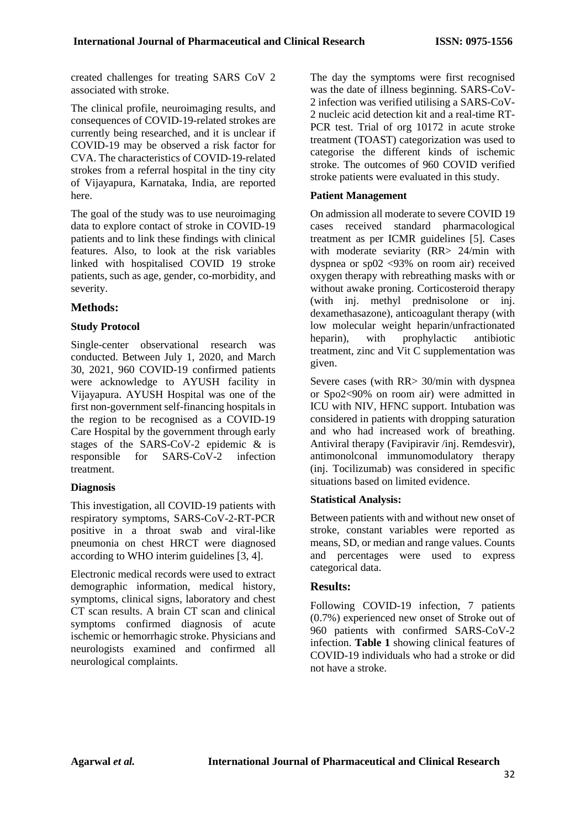created challenges for treating SARS CoV 2 associated with stroke.

The clinical profile, neuroimaging results, and consequences of COVID-19-related strokes are currently being researched, and it is unclear if COVID-19 may be observed a risk factor for CVA. The characteristics of COVID-19-related strokes from a referral hospital in the tiny city of Vijayapura, Karnataka, India, are reported here.

The goal of the study was to use neuroimaging data to explore contact of stroke in COVID-19 patients and to link these findings with clinical features. Also, to look at the risk variables linked with hospitalised COVID 19 stroke patients, such as age, gender, co-morbidity, and severity.

### **Methods:**

#### **Study Protocol**

Single-center observational research was conducted. Between July 1, 2020, and March 30, 2021, 960 COVID-19 confirmed patients were acknowledge to AYUSH facility in Vijayapura. AYUSH Hospital was one of the first non-government self-financing hospitals in the region to be recognised as a COVID-19 Care Hospital by the government through early stages of the SARS-CoV-2 epidemic & is responsible for SARS-CoV-2 infection treatment.

#### **Diagnosis**

This investigation, all COVID-19 patients with respiratory symptoms, SARS-CoV-2-RT-PCR positive in a throat swab and viral-like pneumonia on chest HRCT were diagnosed according to WHO interim guidelines [3, 4].

Electronic medical records were used to extract demographic information, medical history, symptoms, clinical signs, laboratory and chest CT scan results. A brain CT scan and clinical symptoms confirmed diagnosis of acute ischemic or hemorrhagic stroke. Physicians and neurologists examined and confirmed all neurological complaints.

The day the symptoms were first recognised was the date of illness beginning. SARS-CoV-2 infection was verified utilising a SARS-CoV-2 nucleic acid detection kit and a real-time RT-PCR test. Trial of org 10172 in acute stroke treatment (TOAST) categorization was used to categorise the different kinds of ischemic stroke. The outcomes of 960 COVID verified stroke patients were evaluated in this study.

#### **Patient Management**

On admission all moderate to severe COVID 19 cases received standard pharmacological treatment as per ICMR guidelines [5]. Cases with moderate seviarity (RR> 24/min with dyspnea or sp02 <93% on room air) received oxygen therapy with rebreathing masks with or without awake proning. Corticosteroid therapy (with inj. methyl prednisolone or inj. dexamethasazone), anticoagulant therapy (with low molecular weight heparin/unfractionated heparin), with prophylactic antibiotic treatment, zinc and Vit C supplementation was given.

Severe cases (with RR> 30/min with dyspnea or Spo2<90% on room air) were admitted in ICU with NIV, HFNC support. Intubation was considered in patients with dropping saturation and who had increased work of breathing. Antiviral therapy (Favipiravir /inj. Remdesvir), antimonolconal immunomodulatory therapy (inj. Tocilizumab) was considered in specific situations based on limited evidence.

#### **Statistical Analysis:**

Between patients with and without new onset of stroke, constant variables were reported as means, SD, or median and range values. Counts and percentages were used to express categorical data.

#### **Results:**

Following COVID-19 infection, 7 patients (0.7%) experienced new onset of Stroke out of 960 patients with confirmed SARS-CoV-2 infection. **Table 1** showing clinical features of COVID-19 individuals who had a stroke or did not have a stroke.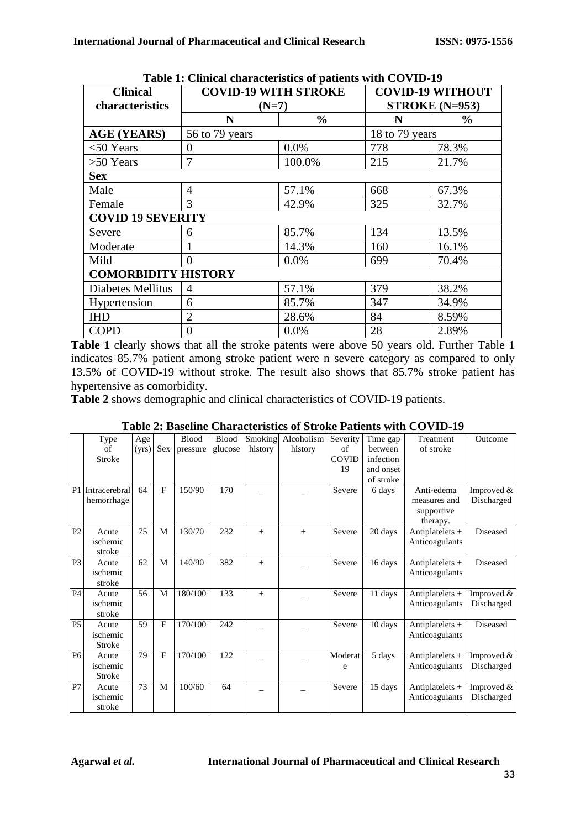| Table 1. Chincal characteristics of patients with COVID-12 |                             |               |                         |               |  |  |  |  |
|------------------------------------------------------------|-----------------------------|---------------|-------------------------|---------------|--|--|--|--|
| <b>Clinical</b>                                            | <b>COVID-19 WITH STROKE</b> |               | <b>COVID-19 WITHOUT</b> |               |  |  |  |  |
| characteristics                                            | $(N=7)$                     |               | STROKE $(N=953)$        |               |  |  |  |  |
|                                                            | N                           | $\frac{0}{0}$ | N                       | $\frac{6}{9}$ |  |  |  |  |
| <b>AGE (YEARS)</b>                                         | 56 to 79 years              |               | 18 to 79 years          |               |  |  |  |  |
| $<$ 50 Years                                               | 0                           | $0.0\%$       | 778                     | 78.3%         |  |  |  |  |
| $>50$ Years                                                | 7                           | 100.0%        | 215                     | 21.7%         |  |  |  |  |
| <b>Sex</b>                                                 |                             |               |                         |               |  |  |  |  |
| Male                                                       | $\overline{4}$              | 57.1%         | 668                     | 67.3%         |  |  |  |  |
| Female                                                     | 3                           | 42.9%         | 325                     | 32.7%         |  |  |  |  |
| <b>COVID 19 SEVERITY</b>                                   |                             |               |                         |               |  |  |  |  |
| Severe                                                     | 6                           | 85.7%         | 134                     | 13.5%         |  |  |  |  |
| Moderate                                                   |                             | 14.3%         | 160                     | 16.1%         |  |  |  |  |
| Mild                                                       | $\Omega$                    | 0.0%          | 699                     | 70.4%         |  |  |  |  |
| <b>COMORBIDITY HISTORY</b>                                 |                             |               |                         |               |  |  |  |  |
| Diabetes Mellitus                                          | 4                           | 57.1%         | 379                     | 38.2%         |  |  |  |  |
| Hypertension                                               | 6                           | 85.7%         | 347                     | 34.9%         |  |  |  |  |
| <b>IHD</b>                                                 | $\overline{2}$              | 28.6%         | 84                      | 8.59%         |  |  |  |  |
| <b>COPD</b>                                                | $\theta$                    | $0.0\%$       | 28                      | 2.89%         |  |  |  |  |

**Table 1: Clinical characteristics of patients with COVID-19**

Table 1 clearly shows that all the stroke patents were above 50 years old. Further Table 1 indicates 85.7% patient among stroke patient were n severe category as compared to only 13.5% of COVID-19 without stroke. The result also shows that 85.7% stroke patient has hypertensive as comorbidity.

**Table 2** shows demographic and clinical characteristics of COVID-19 patients.

|                | Type<br>of<br>Stroke        | Age<br>(yrs) | Sex          | <b>Blood</b><br>pressure | <b>Blood</b><br>glucose | Smoking<br>history | Alcoholism<br>history | Severity<br>of<br><b>COVID</b><br>19 | Time gap<br>between<br>infection<br>and onset<br>of stroke | Treatment<br>of stroke                               | Outcome                  |
|----------------|-----------------------------|--------------|--------------|--------------------------|-------------------------|--------------------|-----------------------|--------------------------------------|------------------------------------------------------------|------------------------------------------------------|--------------------------|
| P <sub>1</sub> | Intracerebral<br>hemorrhage | 64           | F            | 150/90                   | 170                     |                    |                       | Severe                               | 6 days                                                     | Anti-edema<br>measures and<br>supportive<br>therapy. | Improved &<br>Discharged |
| P <sub>2</sub> | Acute<br>ischemic<br>stroke | 75           | M            | 130/70                   | 232                     | $^{+}$             | $^{+}$                | Severe                               | 20 days                                                    | Antiplatelets $+$<br>Anticoagulants                  | Diseased                 |
| P <sub>3</sub> | Acute<br>ischemic<br>stroke | 62           | M            | 140/90                   | 382                     | $^{+}$             |                       | Severe                               | 16 days                                                    | Antiplatelets $+$<br>Anticoagulants                  | Diseased                 |
| <b>P4</b>      | Acute<br>ischemic<br>stroke | 56           | M            | 180/100                  | 133                     | $+$                |                       | Severe                               | 11 days                                                    | Antiplatelets $+$<br>Anticoagulants                  | Improved &<br>Discharged |
| P <sub>5</sub> | Acute<br>ischemic<br>Stroke | 59           | $\mathbf{F}$ | 170/100                  | 242                     |                    |                       | Severe                               | 10 days                                                    | Antiplatelets $+$<br>Anticoagulants                  | Diseased                 |
| <b>P6</b>      | Acute<br>ischemic<br>Stroke | 79           | $\mathbf{F}$ | 170/100                  | 122                     |                    |                       | Moderat<br>e                         | 5 days                                                     | Antiplatelets $+$<br>Anticoagulants                  | Improved &<br>Discharged |
| P7             | Acute<br>ischemic<br>stroke | 73           | M            | 100/60                   | 64                      |                    |                       | Severe                               | 15 days                                                    | Antiplatelets $+$<br>Anticoagulants                  | Improved &<br>Discharged |

**Table 2: Baseline Characteristics of Stroke Patients with COVID-19**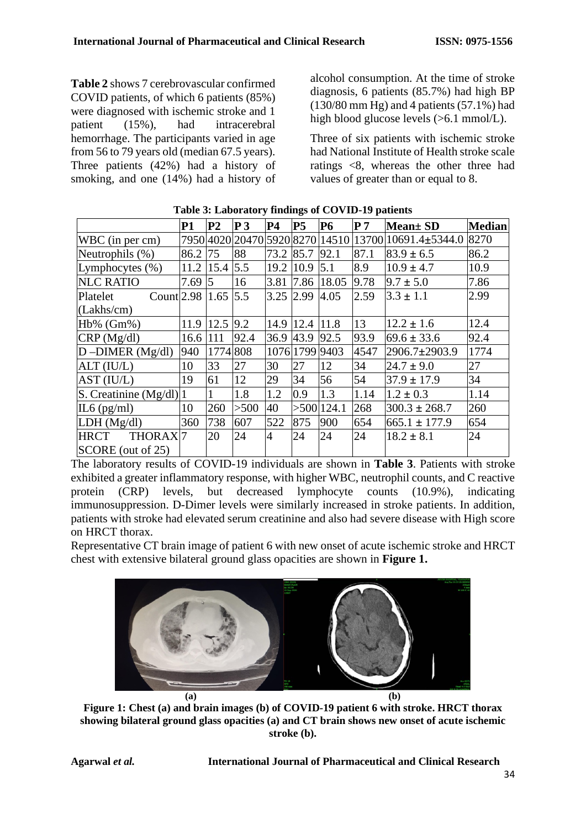**Table 2** shows 7 cerebrovascular confirmed COVID patients, of which 6 patients (85%) were diagnosed with ischemic stroke and 1<br>national intracerebral<br>intracerebral patient (15%), had intracerebral hemorrhage. The participants varied in age from 56 to 79 years old (median 67.5 years). Three patients (42%) had a history of smoking, and one (14%) had a history of

alcohol consumption. At the time of stroke diagnosis, 6 patients (85.7%) had high BP  $(130/80$  mm Hg) and 4 patients  $(57.1\%)$  had high blood glucose levels (>6.1 mmol/L).

Three of six patients with ischemic stroke had National Institute of Health stroke scale ratings <8, whereas the other three had values of greater than or equal to 8.

|                                    | <b>P1</b> | P <sub>2</sub>  | P <sub>3</sub>  | <b>P4</b>      | P <sub>5</sub> | <b>P6</b>       | P <sub>7</sub> | <b>Mean</b> ± SD     | <b>Median</b> |
|------------------------------------|-----------|-----------------|-----------------|----------------|----------------|-----------------|----------------|----------------------|---------------|
| WBC (in per cm)                    |           |                 | 7950 4020 20470 |                |                | 5920 8270 14510 |                | 13700 10691.4±5344.0 | 8270          |
| Neutrophils (%)                    | 86.2      | 75              | 88              | 73.2           | 85.7           | 92.1            | 87.1           | $83.9 \pm 6.5$       | 86.2          |
| Lymphocytes $(\% )$                | 11.2      | $15.4 \,   5.5$ |                 | 19.2           | 10.9           | 5.1             | 8.9            | $10.9 \pm 4.7$       | 10.9          |
| <b>NLC RATIO</b>                   | 7.69      | 5               | 16              | 3.81           | 7.86           | 18.05           | 9.78           | $9.7 \pm 5.0$        | 7.86          |
| Count 2.98 1.65<br>Platelet        |           |                 | 5.5             | 3.25 2.99      |                | 4.05            | 2.59           | $3.3 \pm 1.1$        | 2.99          |
| (Lakhs/cm)                         |           |                 |                 |                |                |                 |                |                      |               |
| $Hb\%$ ( $Gm\%$ )                  | 11.9      | 12.5            | 9.2             | 14.9           | 12.4           | 11.8            | 13             | $12.2 \pm 1.6$       | 12.4          |
| CRP(Mg/dl)                         | 16.6      | 111             | 92.4            | 36.9           | 43.9           | 92.5            | 93.9           | $69.6 \pm 33.6$      | 92.4          |
| $D$ -DIMER (Mg/dl)                 | 940       | 1774 808        |                 |                | 1076 1799 9403 |                 | 4547           | 2906.7±2903.9        | 1774          |
| ALT (IU/L)                         | 10        | 33              | 27              | 30             | 27             | 12              | 34             | $24.7 \pm 9.0$       | 27            |
| AST (IU/L)                         | 19        | 61              | 12              | 29             | 34             | 56              | 54             | $37.9 \pm 17.9$      | 34            |
| $ S.$ Creatinine $(Mg/dl) 1$       |           |                 | 1.8             | 1.2            | 0.9            | 1.3             | 1.14           | $1.2 \pm 0.3$        | 1.14          |
| $IL6$ (pg/ml)                      | 10        | 260             | >500            | 40             |                | $>500$ 124.1    | 268            | $300.3 \pm 268.7$    | 260           |
| LDH (Mg/dl)                        | 360       | 738             | 607             | 522            | 875            | 900             | 654            | $665.1 \pm 177.9$    | 654           |
| THORAX <sub>7</sub><br><b>HRCT</b> |           | 20              | 24              | $\overline{4}$ | 24             | 24              | 24             | $18.2 \pm 8.1$       | 24            |
| SCORE (out of 25)                  |           |                 |                 |                |                |                 |                |                      |               |

### **Table 3: Laboratory findings of COVID-19 patients**

The laboratory results of COVID-19 individuals are shown in **Table 3**. Patients with stroke exhibited a greater inflammatory response, with higher WBC, neutrophil counts, and C reactive protein (CRP) levels, but decreased lymphocyte counts (10.9%), indicating immunosuppression. D-Dimer levels were similarly increased in stroke patients. In addition, patients with stroke had elevated serum creatinine and also had severe disease with High score on HRCT thorax.

Representative CT brain image of patient 6 with new onset of acute ischemic stroke and HRCT chest with extensive bilateral ground glass opacities are shown in **Figure 1.**



**Figure 1: Chest (a) and brain images (b) of COVID-19 patient 6 with stroke. HRCT thorax showing bilateral ground glass opacities (a) and CT brain shows new onset of acute ischemic stroke (b).**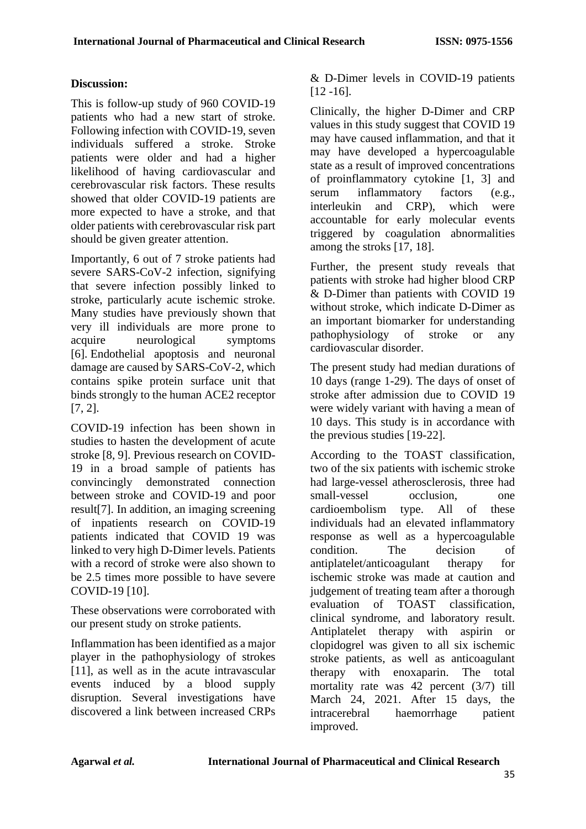### **Discussion:**

This is follow-up study of 960 COVID-19 patients who had a new start of stroke. Following infection with COVID-19, seven individuals suffered a stroke. Stroke patients were older and had a higher likelihood of having cardiovascular and cerebrovascular risk factors. These results showed that older COVID-19 patients are more expected to have a stroke, and that older patients with cerebrovascular risk part should be given greater attention.

Importantly, 6 out of 7 stroke patients had severe SARS-CoV-2 infection, signifying that severe infection possibly linked to stroke, particularly acute ischemic stroke. Many studies have previously shown that very ill individuals are more prone to acquire neurological symptoms [6]. Endothelial apoptosis and neuronal damage are caused by SARS-CoV-2, which contains spike protein surface unit that binds strongly to the human ACE2 receptor [7, 2].

COVID-19 infection has been shown in studies to hasten the development of acute stroke [8, 9]. Previous research on COVID-19 in a broad sample of patients has convincingly demonstrated connection between stroke and COVID-19 and poor result[7]. In addition, an imaging screening of inpatients research on COVID-19 patients indicated that COVID 19 was linked to very high D-Dimer levels. Patients with a record of stroke were also shown to be 2.5 times more possible to have severe COVID-19 [10].

These observations were corroborated with our present study on stroke patients.

Inflammation has been identified as a major player in the pathophysiology of strokes [11], as well as in the acute intravascular events induced by a blood supply disruption. Several investigations have discovered a link between increased CRPs

& D-Dimer levels in COVID-19 patients [12 -16].

Clinically, the higher D-Dimer and CRP values in this study suggest that COVID 19 may have caused inflammation, and that it may have developed a hypercoagulable state as a result of improved concentrations of proinflammatory cytokine [1, 3] and serum inflammatory factors (e.g., interleukin and CRP), which were accountable for early molecular events triggered by coagulation abnormalities among the stroks [17, 18].

Further, the present study reveals that patients with stroke had higher blood CRP & D-Dimer than patients with COVID 19 without stroke, which indicate D-Dimer as an important biomarker for understanding pathophysiology of stroke or any cardiovascular disorder.

The present study had median durations of 10 days (range 1-29). The days of onset of stroke after admission due to COVID 19 were widely variant with having a mean of 10 days. This study is in accordance with the previous studies [19-22].

According to the TOAST classification, two of the six patients with ischemic stroke had large-vessel atherosclerosis, three had small-vessel occlusion, one cardioembolism type. All of these individuals had an elevated inflammatory response as well as a hypercoagulable condition. The decision of antiplatelet/anticoagulant therapy for ischemic stroke was made at caution and judgement of treating team after a thorough evaluation of TOAST classification, clinical syndrome, and laboratory result. Antiplatelet therapy with aspirin or clopidogrel was given to all six ischemic stroke patients, as well as anticoagulant therapy with enoxaparin. The total mortality rate was 42 percent (3/7) till March 24, 2021. After 15 days, the intracerebral haemorrhage patient improved.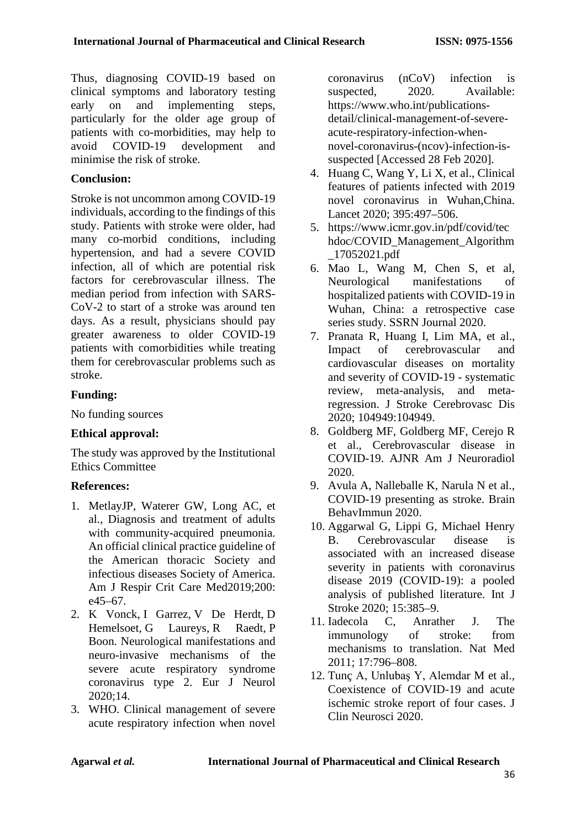Thus, diagnosing COVID-19 based on clinical symptoms and laboratory testing early on and implementing steps, particularly for the older age group of patients with co-morbidities, may help to avoid COVID-19 development and minimise the risk of stroke.

# **Conclusion:**

Stroke is not uncommon among COVID-19 individuals, according to the findings of this study. Patients with stroke were older, had many co-morbid conditions, including hypertension, and had a severe COVID infection, all of which are potential risk factors for cerebrovascular illness. The median period from infection with SARS-CoV-2 to start of a stroke was around ten days. As a result, physicians should pay greater awareness to older COVID-19 patients with comorbidities while treating them for cerebrovascular problems such as stroke.

# **Funding:**

No funding sources

# **Ethical approval:**

The study was approved by the Institutional Ethics Committee

# **References:**

- 1. MetlayJP, Waterer GW, Long AC, et al., Diagnosis and treatment of adults with community-acquired pneumonia. An official clinical practice guideline of the American thoracic Society and infectious diseases Society of America. Am J Respir Crit Care Med2019;200: e45–67.
- 2. [K Vonck,](https://pubmed.ncbi.nlm.nih.gov/?term=Vonck+K&cauthor_id=32416028) [I Garrez,](https://pubmed.ncbi.nlm.nih.gov/?term=Garrez+I&cauthor_id=32416028) [V De Herdt,](https://pubmed.ncbi.nlm.nih.gov/?term=De+Herdt+V&cauthor_id=32416028) [D](https://pubmed.ncbi.nlm.nih.gov/?term=Hemelsoet+D&cauthor_id=32416028)  [Hemelsoet,](https://pubmed.ncbi.nlm.nih.gov/?term=Hemelsoet+D&cauthor_id=32416028) [G Laureys,](https://pubmed.ncbi.nlm.nih.gov/?term=Laureys+G&cauthor_id=32416028) [R Raedt,](https://pubmed.ncbi.nlm.nih.gov/?term=Raedt+R&cauthor_id=32416028) P [Boon.](https://pubmed.ncbi.nlm.nih.gov/?term=Boon+P&cauthor_id=32416028) Neurological manifestations and neuro-invasive mechanisms of the severe acute respiratory syndrome coronavirus type 2. Eur J Neurol 2020;14.
- 3. WHO. Clinical management of severe acute respiratory infection when novel

coronavirus (nCoV) infection is suspected, 2020. Available: https://www.who.int/publicationsdetail/clinical-management-of-severeacute-respiratory-infection-whennovel-coronavirus-(ncov)-infection-issuspected [Accessed 28 Feb 2020].

- 4. Huang C, Wang Y, Li X, et al., Clinical features of patients infected with 2019 novel coronavirus in Wuhan,China. Lancet 2020; 395:497–506.
- 5. [https://www.icmr.gov.in/pdf/covid/tec](https://www.icmr.gov.in/pdf/covid/techdoc/COVID_Management_Algorithm_17052021.pdf) [hdoc/COVID\\_Management\\_Algorithm](https://www.icmr.gov.in/pdf/covid/techdoc/COVID_Management_Algorithm_17052021.pdf) [\\_17052021.pdf](https://www.icmr.gov.in/pdf/covid/techdoc/COVID_Management_Algorithm_17052021.pdf)
- 6. Mao L, Wang M, Chen S, et al, Neurological manifestations of hospitalized patients with COVID-19 in Wuhan, China: a retrospective case series study. SSRN Journal 2020.
- 7. Pranata R, Huang I, Lim MA, et al., Impact of cerebrovascular and cardiovascular diseases on mortality and severity of COVID-19 - systematic review, meta-analysis, and metaregression. J Stroke Cerebrovasc Dis 2020; 104949:104949.
- 8. Goldberg MF, Goldberg MF, Cerejo R et al., Cerebrovascular disease in COVID-19. AJNR Am J Neuroradiol 2020.
- 9. Avula A, Nalleballe K, Narula N et al., COVID-19 presenting as stroke. Brain BehavImmun 2020.
- 10. Aggarwal G, Lippi G, Michael Henry B. Cerebrovascular disease is associated with an increased disease severity in patients with coronavirus disease 2019 (COVID-19): a pooled analysis of published literature. Int J Stroke 2020; 15:385–9.
- 11. Iadecola C, Anrather J. The immunology of stroke: from mechanisms to translation. Nat Med 2011; 17:796–808.
- 12. Tunç A, Unlubaş Y, Alemdar M et al., Coexistence of COVID-19 and acute ischemic stroke report of four cases. J Clin Neurosci 2020.